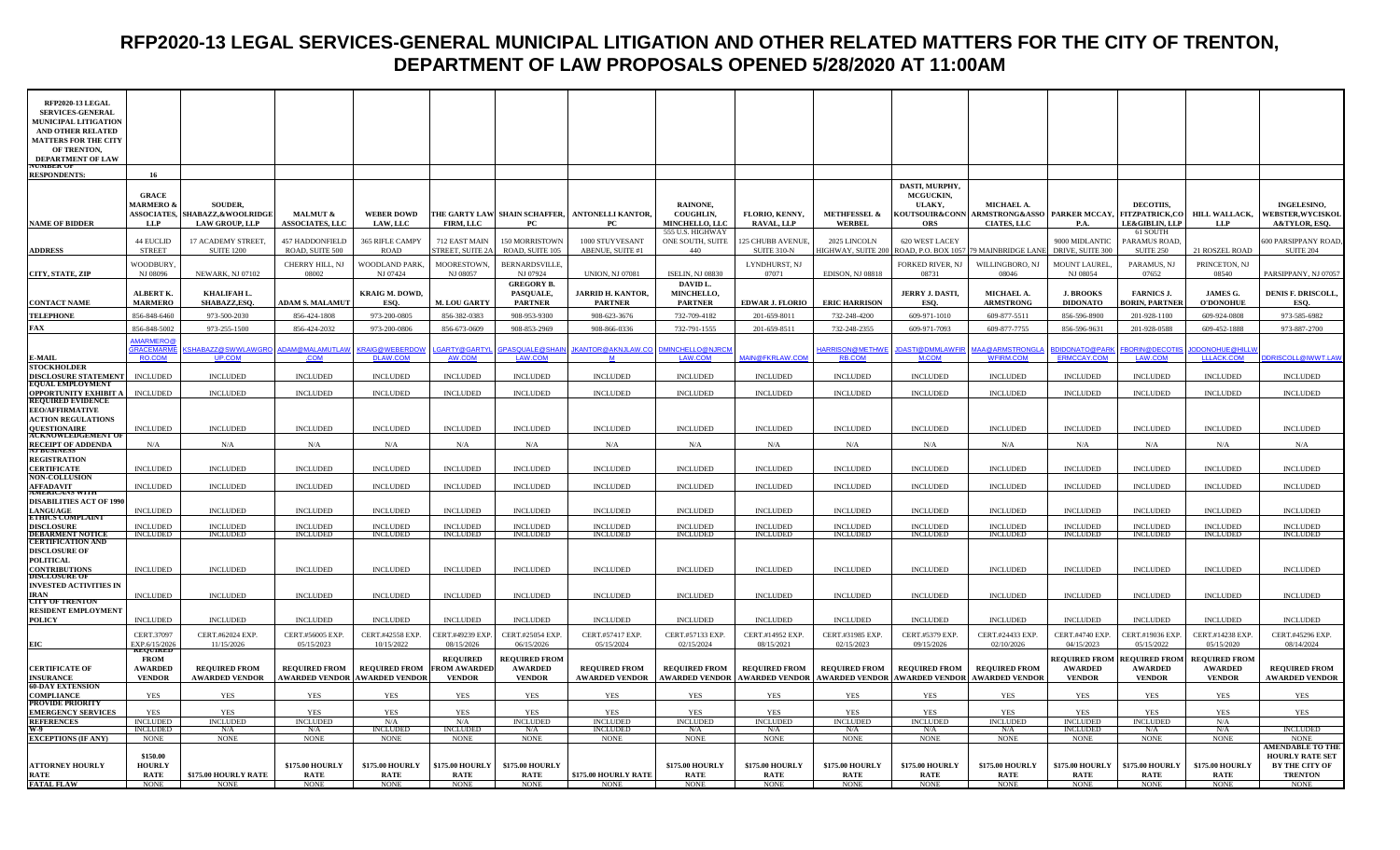# **RFP2020-13 LEGAL SERVICES-GENERAL MUNICIPAL LITIGATION AND OTHER RELATED MATTERS FOR THE CITY OF TRENTON, DEPARTMENT OF LAW PROPOSALS OPENED 5/28/2020 AT 11:00AM**

| RFP2020-13 LEGAL<br><b>SERVICES-GENERAL</b>           |                                    |                                    |                                    |                                      |                                        |                                        |                                                 |                                           |                                                                                    |                                    |                                    |                                                           |                                        |                                            |                                        |                                          |
|-------------------------------------------------------|------------------------------------|------------------------------------|------------------------------------|--------------------------------------|----------------------------------------|----------------------------------------|-------------------------------------------------|-------------------------------------------|------------------------------------------------------------------------------------|------------------------------------|------------------------------------|-----------------------------------------------------------|----------------------------------------|--------------------------------------------|----------------------------------------|------------------------------------------|
| <b>MUNICIPAL LITIGATION</b>                           |                                    |                                    |                                    |                                      |                                        |                                        |                                                 |                                           |                                                                                    |                                    |                                    |                                                           |                                        |                                            |                                        |                                          |
| AND OTHER RELATED<br><b>MATTERS FOR THE CITY</b>      |                                    |                                    |                                    |                                      |                                        |                                        |                                                 |                                           |                                                                                    |                                    |                                    |                                                           |                                        |                                            |                                        |                                          |
| OF TRENTON.                                           |                                    |                                    |                                    |                                      |                                        |                                        |                                                 |                                           |                                                                                    |                                    |                                    |                                                           |                                        |                                            |                                        |                                          |
| <b>DEPARTMENT OF LAW</b><br><b>VUMBER OF</b>          |                                    |                                    |                                    |                                      |                                        |                                        |                                                 |                                           |                                                                                    |                                    |                                    |                                                           |                                        |                                            |                                        |                                          |
| <b>RESPONDENTS:</b>                                   | 16                                 |                                    |                                    |                                      |                                        |                                        |                                                 |                                           |                                                                                    |                                    |                                    |                                                           |                                        |                                            |                                        |                                          |
|                                                       | <b>GRACE</b>                       |                                    |                                    |                                      |                                        |                                        |                                                 |                                           |                                                                                    |                                    | DASTI, MURPHY,                     |                                                           |                                        |                                            |                                        |                                          |
|                                                       | <b>MARMERO &amp;</b>               | <b>SOUDER,</b>                     |                                    |                                      |                                        |                                        |                                                 | RAINONE,                                  |                                                                                    |                                    | <b>MCGUCKIN,</b><br>ULAKY,         | MICHAEL A.                                                |                                        | DECOTHS.                                   |                                        | <b>INGELESINO,</b>                       |
|                                                       | <b>ASSOCIATES,</b>                 | SHABAZZ, & WOOLRIDGE               | <b>MALMUT &amp;</b>                | <b>WEBER DOWD</b>                    |                                        |                                        | THE GARTY LAW SHAIN SCHAFFER, ANTONELLI KANTOR, | COUGHLIN,                                 | FLORIO, KENNY,                                                                     | <b>METHFESSEL &amp;</b>            | KOUTSOUIR&CONN                     | ARMSTRONG&ASSO   PARKER MCCAY,                            |                                        | <b>FITZPATRICK,CO</b>                      | <b>HILL WALLACK,</b>                   | <b><i>NEBSTER,WYCISKOL</i></b>           |
| <b>NAME OF BIDDER</b>                                 | LLP                                | <b>LAW GROUP, LLP</b>              | <b>ASSOCIATES, LLC</b>             | <b>LAW, LLC</b>                      | FIRM, LLC                              | PC.                                    | PC                                              | <b>MINCHELLO, LLC</b><br>555 U.S. HIGHWAY | <b>RAVAL, LLP</b>                                                                  | <b>WERBEL</b>                      | ORS                                | <b>CIATES, LLC</b>                                        | <b>P.A.</b>                            | <b>LE&amp;GIBLIN, LLP</b><br>61 SOUTH      | LLP                                    | <b>A&amp;TYLOR, ESO.</b>                 |
|                                                       | 44 EUCLID                          | 17 ACADEMY STREET,                 | <b>457 HADDONFIELD</b>             | 365 RIFLE CAMPY                      | 712 EAST MAIN                          | 150 MORRISTOWN                         | 1000 STUYVESANT                                 | ONE SOUTH, SUITE                          | <b>125 CHUBB AVENUE</b>                                                            | 2025 LINCOLN                       | 620 WEST LACEY                     |                                                           | 9000 MIDLANTIC                         | <b>PARAMUS ROAD</b>                        |                                        | 00 PARSIPPANY ROAD.                      |
| <b>ADDRESS</b>                                        | <b>STREET</b>                      | <b>SUITE 1200</b>                  | ROAD, SUITE 500                    | <b>ROAD</b>                          | STREET, SUITE 2A                       | ROAD, SUITE 105                        | ABENUE, SUITE #1                                | 440                                       | <b>SUITE 310-N</b>                                                                 |                                    |                                    | HIGHWAY, SUITE 200 ROAD, P.O. BOX 1057 79 MAINBRIDGE LANE | DRIVE, SUITE 300                       | SUITE 250                                  | 21 ROSZEL ROAD                         | <b>SUITE 204</b>                         |
| CITY, STATE, ZIP                                      | WOODBURY<br>NJ 08096               | NEWARK, NJ 07102                   | CHERRY HILL, NJ<br>08002           | WOODLAND PARK<br>NJ 07424            | MOORESTOWN,<br>NJ 08057                | <b>BERNARDSVILLE</b><br>NJ 07924       | <b>UNION, NJ 07081</b>                          | <b>ISELIN, NJ 08830</b>                   | LYNDHURST, NJ<br>07071                                                             | EDISON, NJ 08818                   | FORKED RIVER, NJ<br>08731          | WILLINGBORO, NJ<br>08046                                  | <b>MOUNT LAUREL</b><br>NJ 08054        | PARAMUS, NJ<br>07652                       | PRINCETON, NJ<br>08540                 | PARSIPPANY, NJ 07057                     |
|                                                       |                                    |                                    |                                    |                                      |                                        | <b>GREGORY B.</b>                      |                                                 | DAVID L.                                  |                                                                                    |                                    |                                    |                                                           |                                        |                                            |                                        |                                          |
| <b>CONTACT NAME</b>                                   | <b>ALBERT K.</b><br><b>MARMERO</b> | KHALIFAH L.<br>SHABAZZ,ESO.        | <b>ADAM S. MALAMUT</b>             | KRAIG M. DOWD,<br>ESQ.               | <b>M. LOU GARTY</b>                    | PASQUALE,<br><b>PARTNER</b>            | <b>JARRID H. KANTOR,</b><br><b>PARTNER</b>      | MINCHELLO,<br><b>PARTNER</b>              | <b>EDWAR J. FLORIO</b>                                                             | <b>ERIC HARRISON</b>               | <b>JERRY J. DASTI,</b><br>ESO.     | MICHAEL A.<br><b>ARMSTRONG</b>                            | <b>J. BROOKS</b><br><b>DIDONATO</b>    | <b>FARNICS J.</b><br><b>BORIN, PARTNEE</b> | JAMES G.<br><b>O'DONOHUE</b>           | <b>DENIS F. DRISCOLL,</b><br>ESO.        |
| <b>TELEPHONE</b>                                      | 856-848-6460                       | 973-500-2030                       | 856-424-1808                       | 973-200-0805                         | 856-382-0383                           | 908-953-9300                           | 908-623-3676                                    | 732-709-4182                              | 201-659-8011                                                                       |                                    |                                    | 609-877-5511                                              | 856-596-8900                           |                                            | 609-924-0808                           | 973-585-6982                             |
| ŦАX                                                   | 856-848-5002                       | 973-255-1500                       | 856-424-2032                       | 973-200-0806                         | 856-673-0609                           | 908-853-2969                           | 908-866-0336                                    | 732-791-1555                              | 201-659-8511                                                                       | 732-248-4200<br>732-248-2355       | 609-971-1010<br>609-971-7093       | 609-877-7755                                              | 856-596-9631                           | 201-928-1100<br>201-928-0588               | 609-452-1888                           | 973-887-2700                             |
|                                                       | <b>MARMERO</b>                     |                                    |                                    |                                      |                                        |                                        |                                                 |                                           |                                                                                    |                                    |                                    |                                                           |                                        |                                            |                                        |                                          |
|                                                       | <b>SRACEMARM</b><br><b>RO.COM</b>  | HABAZZ@SWWLAWGRO<br>UP.COM         | ADAM@MALAMUTLAW<br>.COM            | <b>KRAIG@WEBERDOV</b><br>DLAW.COM    | <b>GARTY@GARTYI</b><br>AW.COM          | <b>SPASQUALE@SHAI</b><br>LAW.COM       | <b>JKANTOR@AKNJLAW.CC</b><br>M                  | <u>DMINCHELLO@NJRCN</u><br>LAW.COM        | MAIN@FKRLAW.COM                                                                    | ARRISON@METHWE<br>RB.COM           | <b>JASTI@DMMLAWFIR</b><br>M.COM    | MAA@ARMSTRONGL<br>WFIRM.COM                               | <b>DIDONATO@PARI</b><br>ERMCCAY.COM    | FBORIN@DECOTII                             | ODONOHUE@HILLV                         | DRISCOLL@IWWT.LA\                        |
| 3-MAII<br><b>STOCKHOLDER</b>                          |                                    |                                    |                                    |                                      |                                        |                                        |                                                 |                                           |                                                                                    |                                    |                                    |                                                           |                                        |                                            |                                        |                                          |
| DISCLOSURE STATEMENT<br>EQUAL EMPLOYMENT              | <b>INCLUDED</b>                    | <b>INCLUDED</b>                    | <b>INCLUDED</b>                    | <b>INCLUDED</b>                      | <b>INCLUDED</b>                        | <b>INCLUDED</b>                        | <b>INCLUDED</b>                                 | $\sf INCLUDED$                            | <b>INCLUDED</b>                                                                    | $\sf INCLUDED$                     | <b>INCLUDED</b>                    | <b>INCLUDED</b>                                           | <b>INCLUDED</b>                        | <b>INCLUDED</b>                            | <b>INCLUDED</b>                        | <b>INCLUDED</b>                          |
| OPPORTUNITY EXHIBIT A                                 | <b>INCLUDED</b>                    | <b>INCLUDED</b>                    | <b>INCLUDED</b>                    | <b>INCLUDED</b>                      | <b>INCLUDED</b>                        | <b>INCLUDED</b>                        | <b>INCLUDED</b>                                 | <b>INCLUDED</b>                           | <b>INCLUDED</b>                                                                    | <b>INCLUDED</b>                    | <b>INCLUDED</b>                    | <b>INCLUDED</b>                                           | <b>INCLUDED</b>                        | <b>INCLUDED</b>                            | <b>INCLUDED</b>                        | <b>INCLUDED</b>                          |
| <b>REQUIRED EVIDENCE</b><br><b>EEO/AFFIRMATIVE</b>    |                                    |                                    |                                    |                                      |                                        |                                        |                                                 |                                           |                                                                                    |                                    |                                    |                                                           |                                        |                                            |                                        |                                          |
| <b>ACTION REGULATIONS</b>                             |                                    |                                    |                                    |                                      |                                        |                                        |                                                 |                                           |                                                                                    |                                    |                                    |                                                           |                                        |                                            |                                        |                                          |
| <b>QUESTIONAIRE</b><br>UKNOWLEDGEMENT U               | <b>INCLUDED</b>                    | <b>INCLUDED</b>                    | <b>INCLUDED</b>                    | <b>INCLUDED</b>                      | <b>INCLUDED</b>                        | <b>INCLUDED</b>                        | <b>INCLUDED</b>                                 | <b>INCLUDED</b>                           | <b>INCLUDED</b>                                                                    | <b>INCLUDED</b>                    | <b>INCLUDED</b>                    | <b>INCLUDED</b>                                           | <b>INCLUDED</b>                        | <b>INCLUDED</b>                            | <b>INCLUDED</b>                        | <b>INCLUDED</b>                          |
| RECEIPT OF ADDENDA<br>NJ BUSINESS                     | N/A                                | N/A                                | N/A                                | $\rm N/A$                            | N/A                                    | N/A                                    | N/A                                             | N/A                                       | N/A                                                                                | N/A                                | N/A                                | N/A                                                       | N/A                                    | N/A                                        | N/A                                    | N/A                                      |
| <b>REGISTRATION</b>                                   |                                    |                                    |                                    |                                      |                                        |                                        |                                                 |                                           |                                                                                    |                                    |                                    |                                                           |                                        |                                            |                                        |                                          |
| <b>CERTIFICATE</b><br><b>NON-COLLUSION</b>            | <b>INCLUDED</b>                    | <b>INCLUDED</b>                    | <b>INCLUDED</b>                    | <b>INCLUDED</b>                      | <b>INCLUDED</b>                        | <b>INCLUDED</b>                        | <b>INCLUDED</b>                                 | <b>INCLUDED</b>                           | <b>INCLUDED</b>                                                                    | <b>INCLUDED</b>                    | <b>INCLUDED</b>                    | <b>INCLUDED</b>                                           | <b>INCLUDED</b>                        | <b>INCLUDED</b>                            | <b>INCLUDED</b>                        | <b>INCLUDED</b>                          |
| <b>AFFADAVIT</b><br><b>MEKICANS</b>                   | <b>INCLUDED</b>                    | <b>INCLUDED</b>                    | <b>INCLUDED</b>                    | <b>INCLUDED</b>                      | <b>INCLUDED</b>                        | <b>INCLUDED</b>                        | <b>INCLUDED</b>                                 | <b>INCLUDED</b>                           | <b>INCLUDED</b>                                                                    | <b>INCLUDED</b>                    | <b>INCLUDED</b>                    | <b>INCLUDED</b>                                           | <b>INCLUDED</b>                        | <b>INCLUDED</b>                            | <b>INCLUDED</b>                        | <b>INCLUDED</b>                          |
| <b>DISABILITIES ACT OF 1990</b>                       |                                    |                                    |                                    |                                      |                                        |                                        |                                                 |                                           |                                                                                    |                                    |                                    |                                                           |                                        |                                            |                                        |                                          |
| LANGUAGE<br>ETHICS COMPI                              | <b>INCLUDED</b>                    | <b>INCLUDED</b>                    | $\sf INCLUDED$                     | <b>INCLUDED</b>                      | <b>INCLUDED</b>                        | $\sf INCLUDED$                         | <b>INCLUDED</b>                                 | $\sf INCLUDED$                            | <b>INCLUDED</b>                                                                    | $\sf INCLUDED$                     | <b>INCLUDED</b>                    | <b>INCLUDED</b>                                           | $\textsc{INCLUDED}$                    | <b>INCLUDED</b>                            | <b>INCLUDED</b>                        | <b>INCLUDED</b>                          |
| <b>DISCLOSURE</b><br><b>DEBARMENT NOTICE</b>          | <b>INCLUDED</b><br>INCLUDED        | <b>INCLUDED</b><br><b>INCLUDED</b> | <b>INCLUDED</b><br><b>INCLUDED</b> | <b>INCLUDED</b><br><b>INCLUDED</b>   | <b>INCLUDED</b><br><b>INCLUDED</b>     | <b>INCLUDED</b><br><b>INCLUDED</b>     | <b>INCLUDED</b><br><b>INCLUDED</b>              | <b>INCLUDED</b><br><b>INCLUDED</b>        | <b>INCLUDED</b><br><b>INCLUDED</b>                                                 | <b>INCLUDED</b><br><b>INCLUDED</b> | <b>INCLUDED</b><br><b>INCLUDED</b> | <b>INCLUDED</b><br><b>INCLUDED</b>                        | <b>INCLUDED</b><br><b>INCLUDED</b>     | <b>INCLUDED</b><br><b>INCLUDED</b>         | <b>INCLUDED</b><br><b>INCLUDED</b>     | <b>INCLUDED</b><br><b>INCLUDED</b>       |
| <b>ERTIFICATION AND</b>                               |                                    |                                    |                                    |                                      |                                        |                                        |                                                 |                                           |                                                                                    |                                    |                                    |                                                           |                                        |                                            |                                        |                                          |
| <b>DISCLOSURE OF</b><br>POLITICAL                     |                                    |                                    |                                    |                                      |                                        |                                        |                                                 |                                           |                                                                                    |                                    |                                    |                                                           |                                        |                                            |                                        |                                          |
| <b>CONTRIBUTIONS</b>                                  | <b>INCLUDED</b>                    | <b>INCLUDED</b>                    | <b>INCLUDED</b>                    | <b>INCLUDED</b>                      | <b>INCLUDED</b>                        | <b>INCLUDED</b>                        | <b>INCLUDED</b>                                 | <b>INCLUDED</b>                           | <b>INCLUDED</b>                                                                    | <b>INCLUDED</b>                    | <b>INCLUDED</b>                    | <b>INCLUDED</b>                                           | <b>INCLUDED</b>                        | <b>INCLUDED</b>                            | <b>INCLUDED</b>                        | <b>INCLUDED</b>                          |
| <b>DISCLOSURE OF</b><br><b>INVESTED ACTIVITIES IN</b> |                                    |                                    |                                    |                                      |                                        |                                        |                                                 |                                           |                                                                                    |                                    |                                    |                                                           |                                        |                                            |                                        |                                          |
| <b>TRAN</b><br><b>CITY OF TRENTON</b>                 | <b>INCLUDED</b>                    | <b>INCLUDED</b>                    | <b>INCLUDED</b>                    | <b>INCLUDED</b>                      | <b>INCLUDED</b>                        | <b>INCLUDED</b>                        | <b>INCLUDED</b>                                 | <b>INCLUDED</b>                           | <b>INCLUDED</b>                                                                    | <b>INCLUDED</b>                    | <b>INCLUDED</b>                    | <b>INCLUDED</b>                                           | <b>INCLUDED</b>                        | <b>INCLUDED</b>                            | <b>INCLUDED</b>                        | <b>INCLUDED</b>                          |
| <b>RESIDENT EMPLOYMENT</b>                            |                                    |                                    |                                    |                                      |                                        |                                        |                                                 |                                           |                                                                                    |                                    |                                    |                                                           |                                        |                                            |                                        |                                          |
| POLICY                                                | <b>INCLUDED</b>                    | <b>INCLUDED</b>                    | <b>INCLUDED</b>                    | <b>INCLUDED</b>                      | <b>INCLUDED</b>                        | <b>INCLUDED</b>                        | <b>INCLUDED</b>                                 | <b>INCLUDED</b>                           | <b>INCLUDED</b>                                                                    | <b>INCLUDED</b>                    | <b>INCLUDED</b>                    | <b>INCLUDED</b>                                           | <b>INCLUDED</b>                        | <b>INCLUDED</b>                            | <b>INCLUDED</b>                        | <b>INCLUDED</b>                          |
| EIC                                                   | CERT.37097                         | CERT.#62024 EXP.<br>11/15/2026     | CERT.#56005 EXP.<br>05/15/2023     | CERT.#42558 EXP.<br>10/15/2022       | CERT.#49239 EXP<br>08/15/2026          | CERT.#25054 EXP<br>06/15/2026          | CERT.#57417 EXP.<br>05/15/2024                  | CERT.#57133 EXP.<br>02/15/2024            | CERT.#14952 EXP.<br>08/15/2021                                                     | CERT.#31985 EXP.<br>02/15/2023     | CERT.#5379 EXP.<br>09/15/2026      | CERT.#24433 EXP.<br>02/10/2026                            | CERT.#4740 EXP<br>04/15/2023           | CERT.#19036 EXP<br>05/15/2022              | CERT.#14238 EXP<br>05/15/2020          | CERT.#45296 EXP.<br>08/14/2024           |
|                                                       | EXP.6/15/2026                      |                                    |                                    |                                      |                                        |                                        |                                                 |                                           |                                                                                    |                                    |                                    |                                                           |                                        |                                            |                                        |                                          |
| <b>CERTIFICATE OF</b>                                 | <b>FROM</b><br><b>AWARDED</b>      | <b>REQUIRED FROM</b>               | <b>REQUIRED FROM</b>               | <b>REQUIRED FROM</b>                 | <b>REQUIRED</b><br><b>FROM AWARDED</b> | <b>REQUIRED FROM</b><br><b>AWARDED</b> | <b>REQUIRED FROM</b>                            | <b>REQUIRED FROM</b>                      | <b>REQUIRED FROM</b>                                                               | <b>REQUIRED FROM REQUIRED FROM</b> |                                    | <b>REQUIRED FROM</b>                                      | <b>REQUIRED FROM</b><br><b>AWARDED</b> | <b>REQUIRED FROM</b><br><b>AWARDED</b>     | <b>REQUIRED FROM</b><br><b>AWARDED</b> | <b>REQUIRED FROM</b>                     |
| <b>INSURANCE</b>                                      | <b>VENDOR</b>                      | <b>AWARDED VENDOR</b>              |                                    | <b>AWARDED VENDOR AWARDED VENDOR</b> | <b>VENDOR</b>                          | <b>VENDOR</b>                          | <b>AWARDED VENDOR</b>                           |                                           | AWARDED VENDOR   AWARDED VENDOR   AWARDED VENDOR   AWARDED VENDOR   AWARDED VENDOR |                                    |                                    |                                                           | <b>VENDOR</b>                          | <b>VENDOR</b>                              | <b>VENDOR</b>                          | <b>AWARDED VENDOR</b>                    |
| <b>60-DAY EXTENSION</b><br>COMPLIANCE                 | <b>YES</b>                         | <b>YES</b>                         | <b>YES</b>                         | <b>YES</b>                           | <b>YES</b>                             | <b>YES</b>                             | <b>YES</b>                                      | <b>YES</b>                                | <b>YES</b>                                                                         | <b>YES</b>                         | <b>YES</b>                         | <b>YES</b>                                                | <b>YES</b>                             | <b>YES</b>                                 | <b>YES</b>                             | <b>YES</b>                               |
| PROVIDE PRIORIT                                       |                                    |                                    |                                    |                                      |                                        |                                        |                                                 |                                           |                                                                                    |                                    |                                    |                                                           |                                        |                                            |                                        |                                          |
| <b>EMERGENCY SERVICES</b><br><b>REFERENCES</b>        | YES<br><b>INCLUDED</b>             | <b>YES</b><br><b>INCLUDED</b>      | YES<br><b>INCLUDED</b>             | <b>YES</b><br>N/A                    | <b>YES</b><br>N/A                      | <b>YES</b><br><b>INCLUDED</b>          | <b>YES</b><br><b>INCLUDED</b>                   | <b>YES</b><br><b>INCLUDED</b>             | YES<br><b>INCLUDED</b>                                                             | YES<br><b>INCLUDED</b>             | YES<br><b>INCLUDED</b>             | <b>YES</b><br><b>INCLUDED</b>                             | <b>YES</b><br><b>INCLUDED</b>          | <b>YES</b><br><b>INCLUDED</b>              | <b>YES</b><br>N/A                      | YES                                      |
| V.O<br><b>EXCEPTIONS (IF ANY)</b>                     | <b>INCLUDED</b><br><b>NONE</b>     | N/A<br><b>NONE</b>                 | N/A<br><b>NONE</b>                 | <b>INCLUDED</b><br><b>NONE</b>       | <b>INCLUDED</b><br><b>NONE</b>         | N/A<br><b>NONE</b>                     | <b>INCLUDED</b><br><b>NONE</b>                  | N/A<br><b>NONE</b>                        | N/A<br><b>NONE</b>                                                                 | N/A<br><b>NONE</b>                 | N/A<br><b>NONE</b>                 | N/A<br><b>NONE</b>                                        | <b>INCLUDED</b><br><b>NONE</b>         | N/A<br><b>NONE</b>                         | N/A<br><b>NONE</b>                     | <b>INCLUDED</b><br><b>NONE</b>           |
|                                                       |                                    |                                    |                                    |                                      |                                        |                                        |                                                 |                                           |                                                                                    |                                    |                                    |                                                           |                                        |                                            |                                        | <b>MENDABLE TO THE</b>                   |
| <b>ATTORNEY HOURLY</b>                                | \$150.00<br><b>HOURLY</b>          |                                    | \$175.00 HOURLY                    | \$175.00 HOURLY                      | <b>\$175.00 HOURLY</b>                 | \$175.00 HOURLY                        |                                                 | \$175.00 HOURLY                           | \$175.00 HOURLY                                                                    | \$175.00 HOURLY                    | \$175.00 HOURLY                    | \$175.00 HOURLY                                           | \$175.00 HOURLY                        | \$175.00 HOURLY                            | \$175.00 HOURLY                        | <b>HOURLY RATE SET</b><br>BY THE CITY OF |
| RATE                                                  | <b>RATE</b>                        | \$175.00 HOURLY RATE               | <b>RATE</b>                        | <b>RATE</b>                          | <b>RATE</b>                            | <b>RATE</b>                            | \$175.00 HOURLY RATE                            | <b>RATE</b>                               | <b>RATE</b>                                                                        | <b>RATE</b>                        | <b>RATE</b>                        | <b>RATE</b>                                               | <b>RATE</b>                            | <b>RATE</b>                                | <b>RATE</b>                            | <b>TRENTON</b>                           |
| <b>FATAL FLAW</b>                                     | <b>NONE</b>                        | <b>NONE</b>                        | <b>NONE</b>                        | <b>NONE</b>                          | <b>NONE</b>                            | <b>NONE</b>                            | <b>NONE</b>                                     | <b>NONE</b>                               | <b>NONE</b>                                                                        | <b>NONE</b>                        | <b>NONE</b>                        | <b>NONE</b>                                               | <b>NONE</b>                            | <b>NONE</b>                                | <b>NONE</b>                            | <b>NONE</b>                              |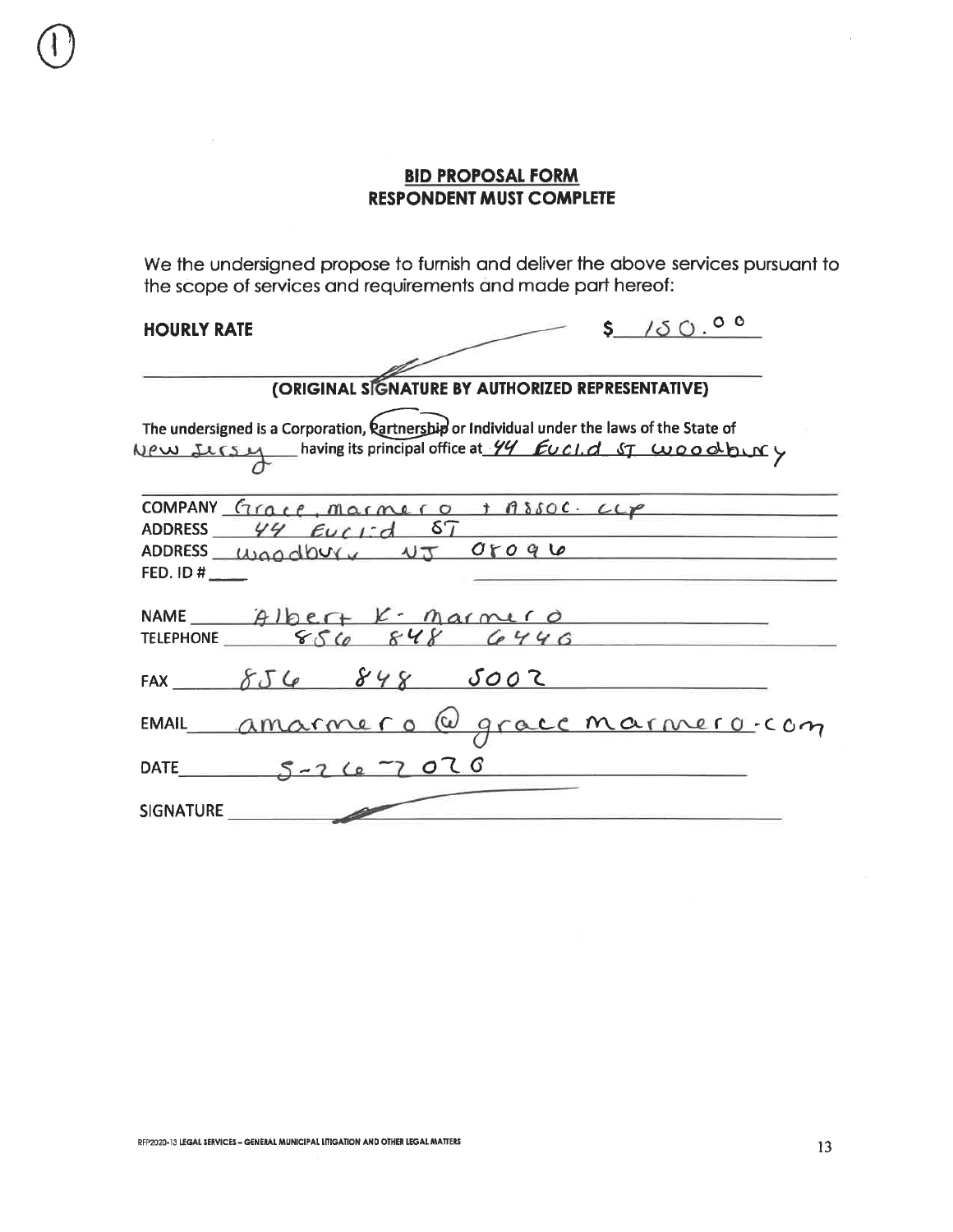We the undersigned propose to furnish and deliver the above services pursuant to the scope of services and requirements and made part hereof:

# **HOURLY RATE**

| <b>HOURLY RATE</b>     | $S$ / $S$ 0. <sup>00</sup>                                                                        |
|------------------------|---------------------------------------------------------------------------------------------------|
|                        |                                                                                                   |
|                        | (ORIGINAL SIGNATURE BY AUTHORIZED REPRESENTATIVE)                                                 |
|                        | The undersigned is a Corporation, <b>Rartnership</b> or Individual under the laws of the State of |
|                        | New IICSM having its principal office at 44 EUCI.d ST WOOODUNY                                    |
|                        | COMPANY $force, macro + 18500$ $Cep$                                                              |
| ADDRESS $44$ Euclid ST |                                                                                                   |
|                        | ADDRESS usaadbury NJ 05096                                                                        |
| FED. ID $\sharp$       |                                                                                                   |
|                        | NAME Albert K- Marmero                                                                            |
|                        | TELEPHONE $856 848 6446$                                                                          |
|                        | FAX $85688002$                                                                                    |
|                        | EMAIL amarmero @ gracc marmero-com                                                                |
| DATE 5-26-7020         |                                                                                                   |
| SIGNATURE              |                                                                                                   |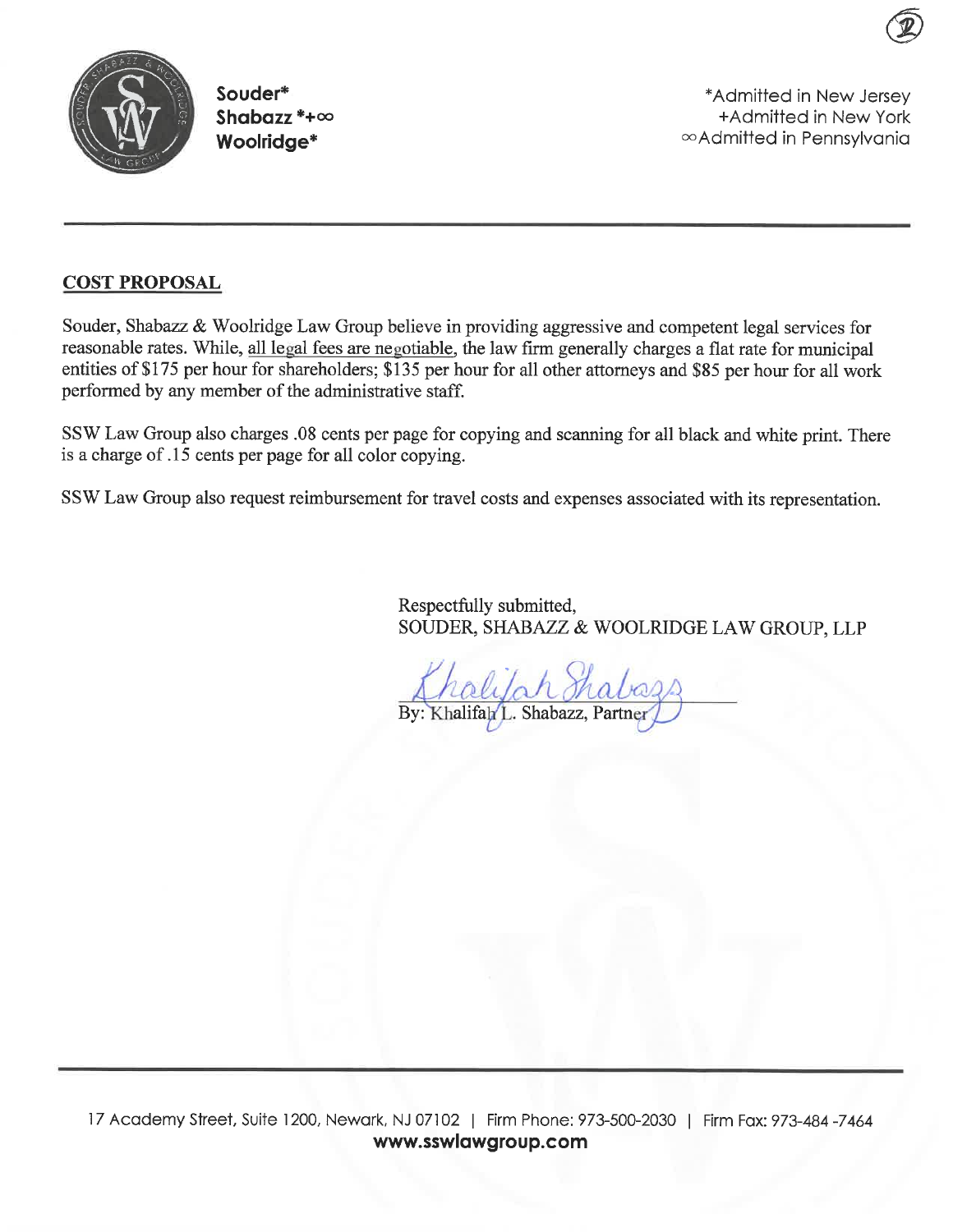

Souder\* Shabazz  $* + \infty$ Woolridge\*

\*Admitted in New Jersey +Admitted in New York ∞Admitted in Pennsylvania

### **COST PROPOSAL**

Souder, Shabazz & Woolridge Law Group believe in providing aggressive and competent legal services for reasonable rates. While, all legal fees are negotiable, the law firm generally charges a flat rate for municipal entities of \$175 per hour for shareholders; \$135 per hour for all other attorneys and \$85 per hour for all work performed by any member of the administrative staff.

SSW Law Group also charges .08 cents per page for copying and scanning for all black and white print. There is a charge of .15 cents per page for all color copying.

SSW Law Group also request reimbursement for travel costs and expenses associated with its representation.

Respectfully submitted, SOUDER, SHABAZZ & WOOLRIDGE LAW GROUP, LLP

By: Khalifah L. Shabazz, Partner

17 Academy Street, Suite 1200, Newark, NJ 07102 | Firm Phone: 973-500-2030 | Firm Fax: 973-484 -7464 www.sswlawgroup.com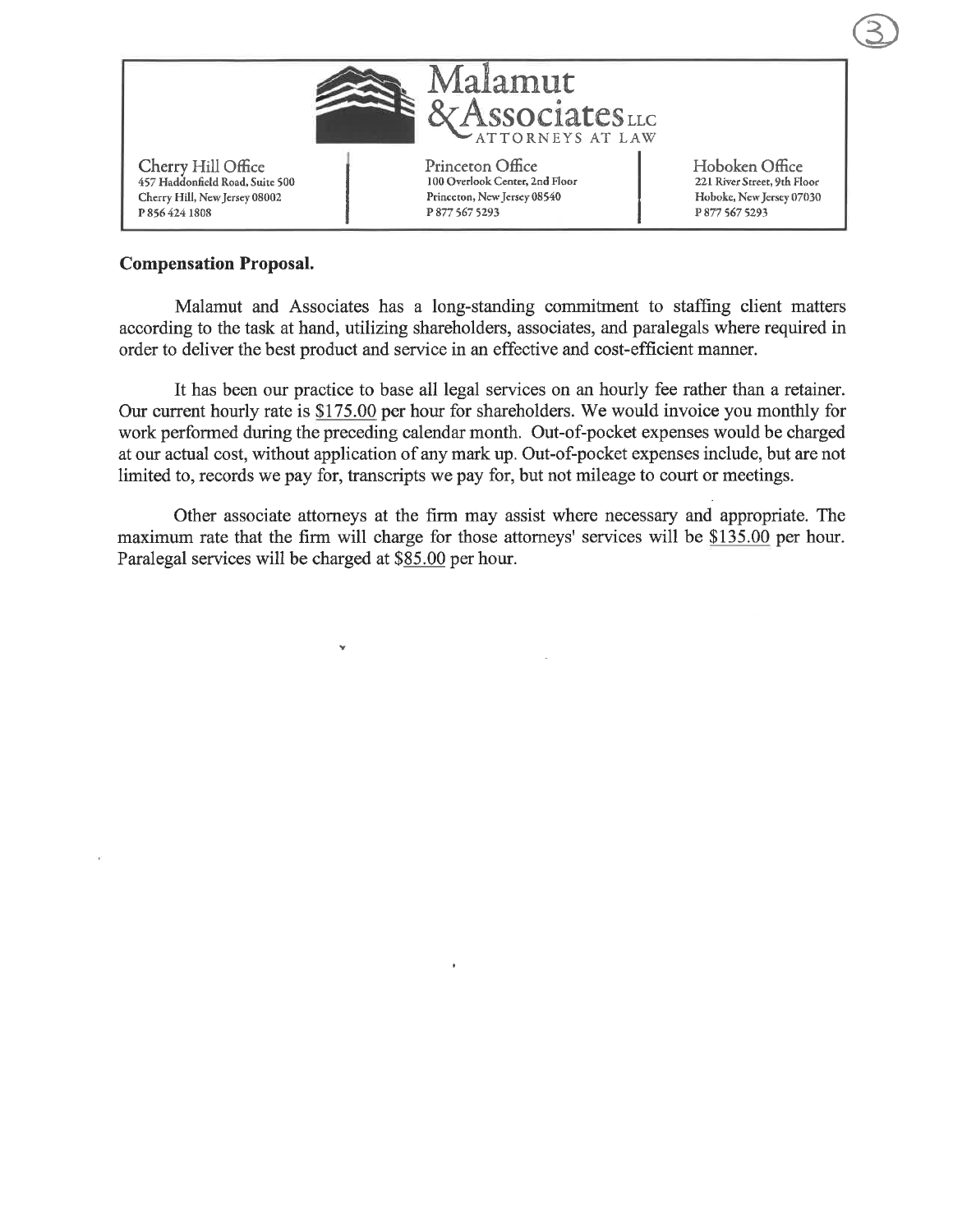

### **Compensation Proposal.**

Malamut and Associates has a long-standing commitment to staffing client matters according to the task at hand, utilizing shareholders, associates, and paralegals where required in order to deliver the best product and service in an effective and cost-efficient manner.

It has been our practice to base all legal services on an hourly fee rather than a retainer. Our current hourly rate is \$175.00 per hour for shareholders. We would invoice you monthly for work performed during the preceding calendar month. Out-of-pocket expenses would be charged at our actual cost, without application of any mark up. Out-of-pocket expenses include, but are not limited to, records we pay for, transcripts we pay for, but not mileage to court or meetings.

Other associate attorneys at the firm may assist where necessary and appropriate. The maximum rate that the firm will charge for those attorneys' services will be \$135.00 per hour. Paralegal services will be charged at \$85.00 per hour.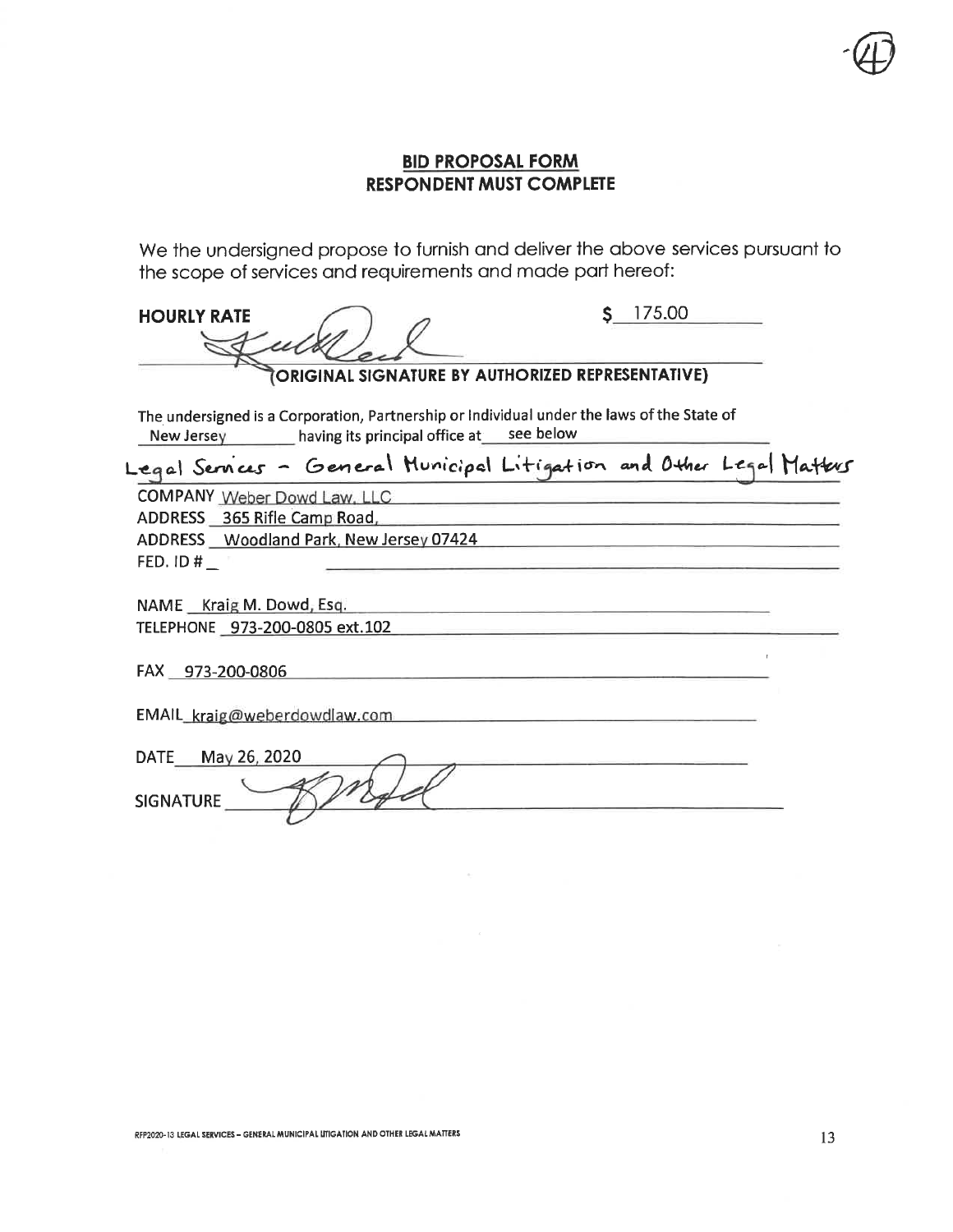We the undersigned propose to furnish and deliver the above services pursuant to the scope of services and requirements and made part hereof:

| <b>HOURLY RATE</b>                                                                                                                                             |                                                  | 175.00 |
|----------------------------------------------------------------------------------------------------------------------------------------------------------------|--------------------------------------------------|--------|
|                                                                                                                                                                | ORIGINAL SIGNATURE BY AUTHORIZED REPRESENTATIVE) |        |
| The undersigned is a Corporation, Partnership or Individual under the laws of the State of<br>New Jersey ________ having its principal office at ___ see below |                                                  |        |
| Legal Services - General Municipal Litigation and Other Legal Matters                                                                                          |                                                  |        |
| COMPANY Weber Dowd Law, LLC<br>ADDRESS 365 Rifle Camp Road,<br>ADDRESS Woodland Park, New Jersey 07424                                                         |                                                  |        |
| FED. ID $#_$                                                                                                                                                   |                                                  |        |
| NAME Kraig M. Dowd, Esq.<br>TELEPHONE 973-200-0805 ext.102                                                                                                     |                                                  |        |
| FAX 973-200-0806                                                                                                                                               |                                                  |        |
| EMAIL_kraig@weberdowdlaw.com                                                                                                                                   |                                                  |        |
| DATE May 26, 2020<br><b>SIGNATURE</b>                                                                                                                          |                                                  |        |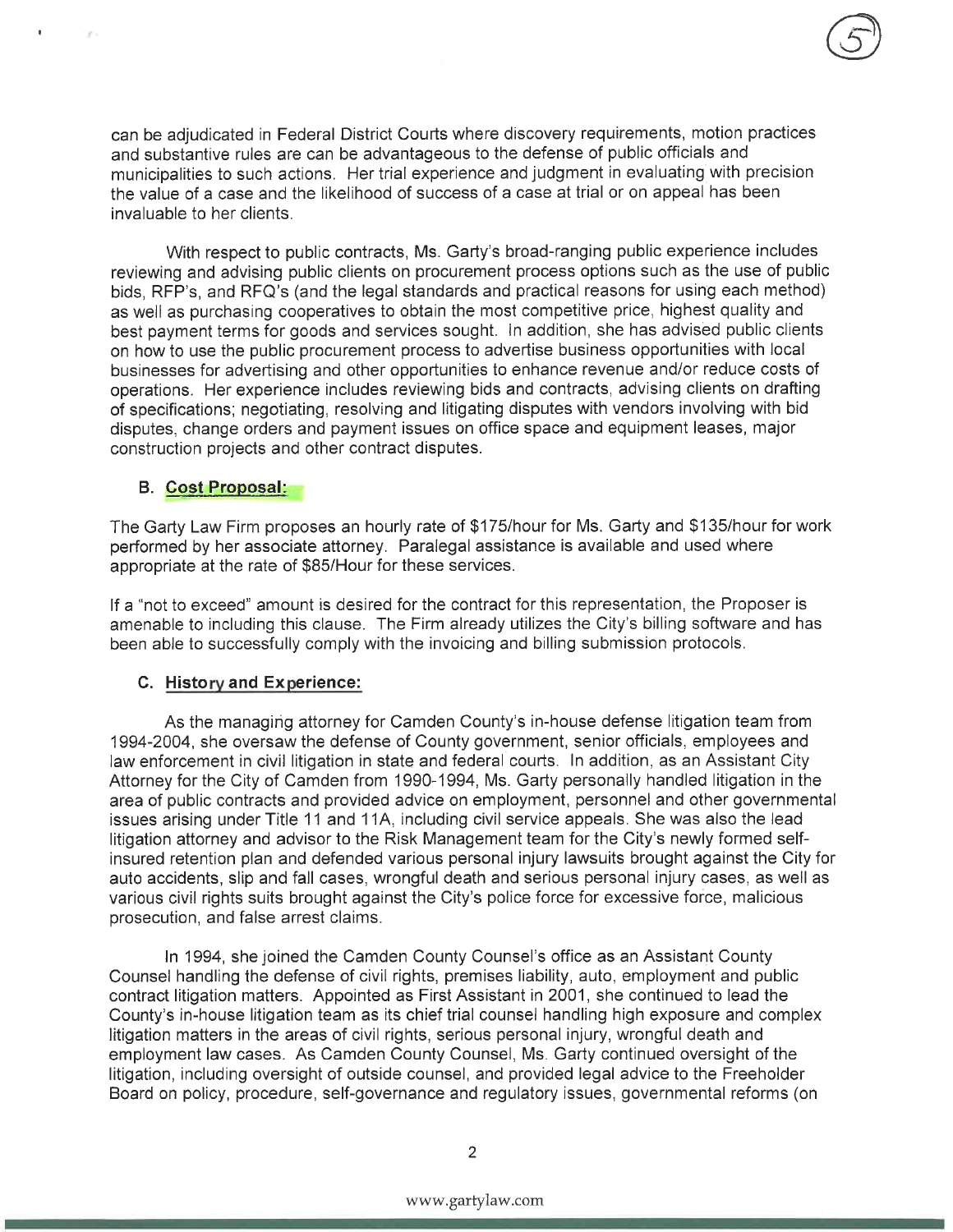can be adjudicated in Federal District Courts where discovery requirements, motion practices and substantive rules are can be advantageous to the defense of public officials and municipalities to such actions. Her trial experience and judgment in evaluating with precision the value of a case and the likelihood of success of a case at trial or on appeal has been invaluable to her clients.

With respect to public contracts, Ms. Garty's broad-ranging public experience includes reviewing and advising public clients on procurement process options such as the use of public bids, RFP's, and RFQ's (and the legal standards and practical reasons for using each method) as well as purchasing cooperatives to obtain the most competitive price, highest quality and best payment terms for goods and services sought. In addition, she has advised public clients on how to use the public procurement process to advertise business opportunities with local businesses for advertising and other opportunities to enhance revenue and/or reduce costs of operations. Her experience includes reviewing bids and contracts, advising clients on drafting of specifications; negotiating, resolving and litigating disputes with vendors involving with bid disputes, change orders and payment issues on office space and equipment leases, major construction projects and other contract disputes.

### **B.** Cost Proposal:

The Garty Law Firm proposes an hourly rate of \$175/hour for Ms. Garty and \$135/hour for work performed by her associate attorney. Paralegal assistance is available and used where appropriate at the rate of \$85/Hour for these services.

If a "not to exceed" amount is desired for the contract for this representation, the Proposer is amenable to including this clause. The Firm already utilizes the City's billing software and has been able to successfully comply with the invoicing and billing submission protocols.

### C. History and Experience:

As the managing attorney for Camden County's in-house defense litigation team from 1994-2004, she oversaw the defense of County government, senior officials, employees and law enforcement in civil litigation in state and federal courts. In addition, as an Assistant City Attorney for the City of Camden from 1990-1994, Ms. Garty personally handled litigation in the area of public contracts and provided advice on employment, personnel and other governmental issues arising under Title 11 and 11A, including civil service appeals. She was also the lead litigation attorney and advisor to the Risk Management team for the City's newly formed selfinsured retention plan and defended various personal injury lawsuits brought against the City for auto accidents, slip and fall cases, wrongful death and serious personal injury cases, as well as various civil rights suits brought against the City's police force for excessive force, malicious prosecution, and false arrest claims.

In 1994, she joined the Camden County Counsel's office as an Assistant County Counsel handling the defense of civil rights, premises liability, auto, employment and public contract litigation matters. Appointed as First Assistant in 2001, she continued to lead the County's in-house litigation team as its chief trial counsel handling high exposure and complex litigation matters in the areas of civil rights, serious personal injury, wrongful death and employment law cases. As Camden County Counsel, Ms. Garty continued oversight of the litigation, including oversight of outside counsel, and provided legal advice to the Freeholder Board on policy, procedure, self-governance and regulatory issues, governmental reforms (on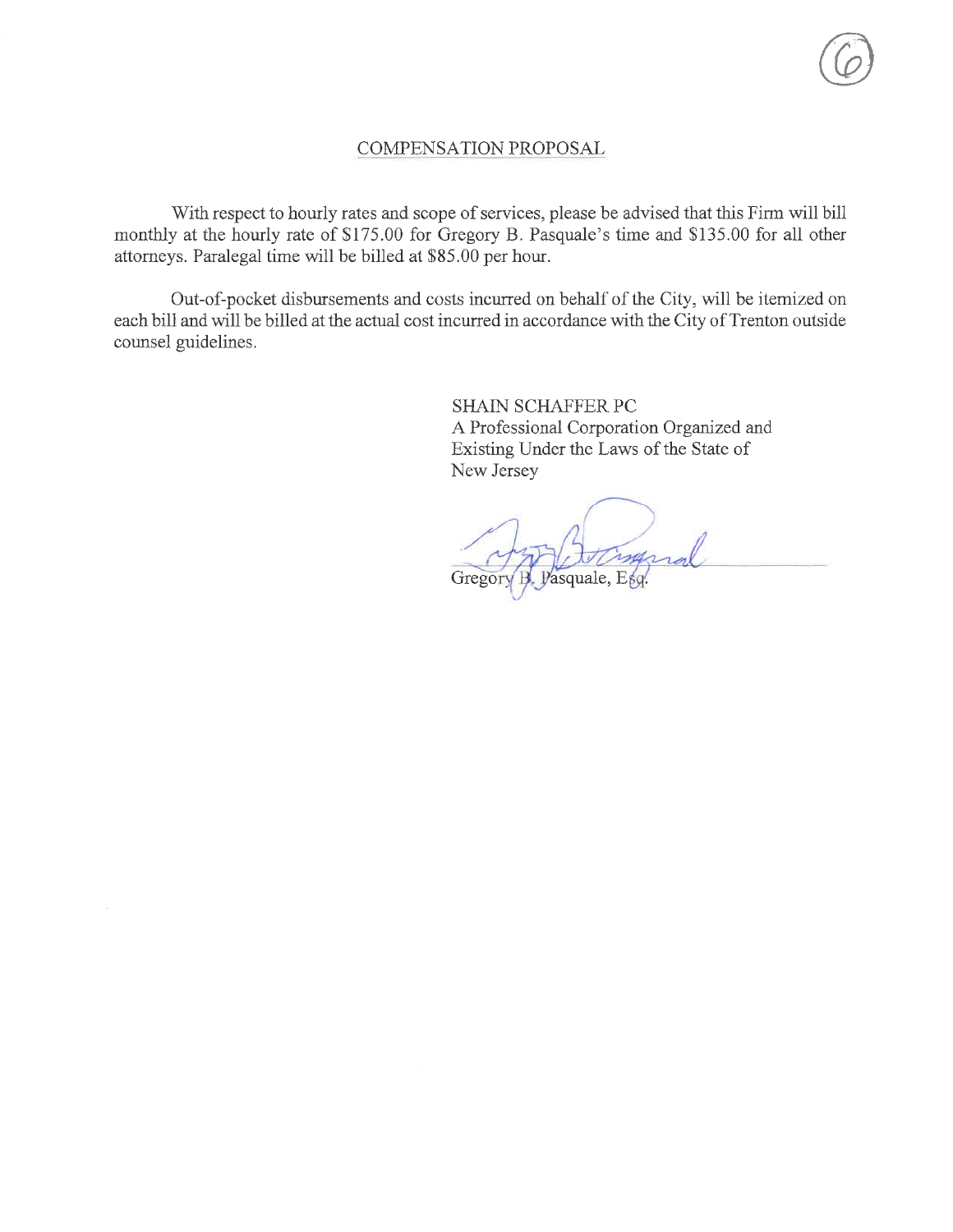### COMPENSATION PROPOSAL

With respect to hourly rates and scope of services, please be advised that this Firm will bill monthly at the hourly rate of \$175.00 for Gregory B. Pasquale's time and \$135.00 for all other attorneys. Paralegal time will be billed at \$85.00 per hour.

Out-of-pocket disbursements and costs incurred on behalf of the City, will be itemized on each bill and will be billed at the actual cost incurred in accordance with the City of Trenton outside counsel guidelines.

> **SHAIN SCHAFFER PC** A Professional Corporation Organized and Existing Under the Laws of the State of New Jersey

ingral Gregor asquale, Esg.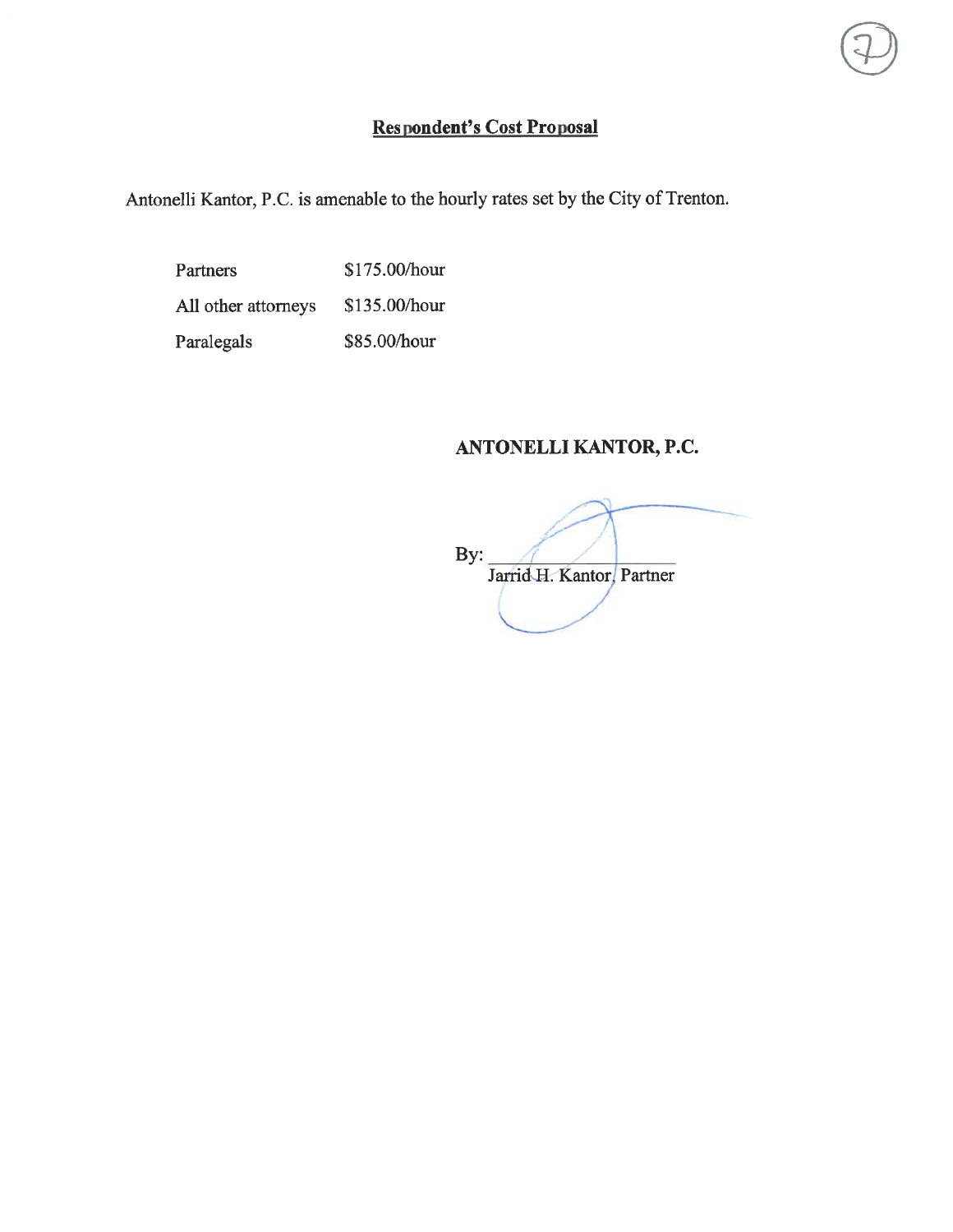# **Respondent's Cost Proposal**

Antonelli Kantor, P.C. is amenable to the hourly rates set by the City of Trenton.

\$175.00/hour Partners All other attorneys \$135.00/hour Paralegals \$85.00/hour

# ANTONELLI KANTOR, P.C.

By: Jarrid H. Kantor, Partner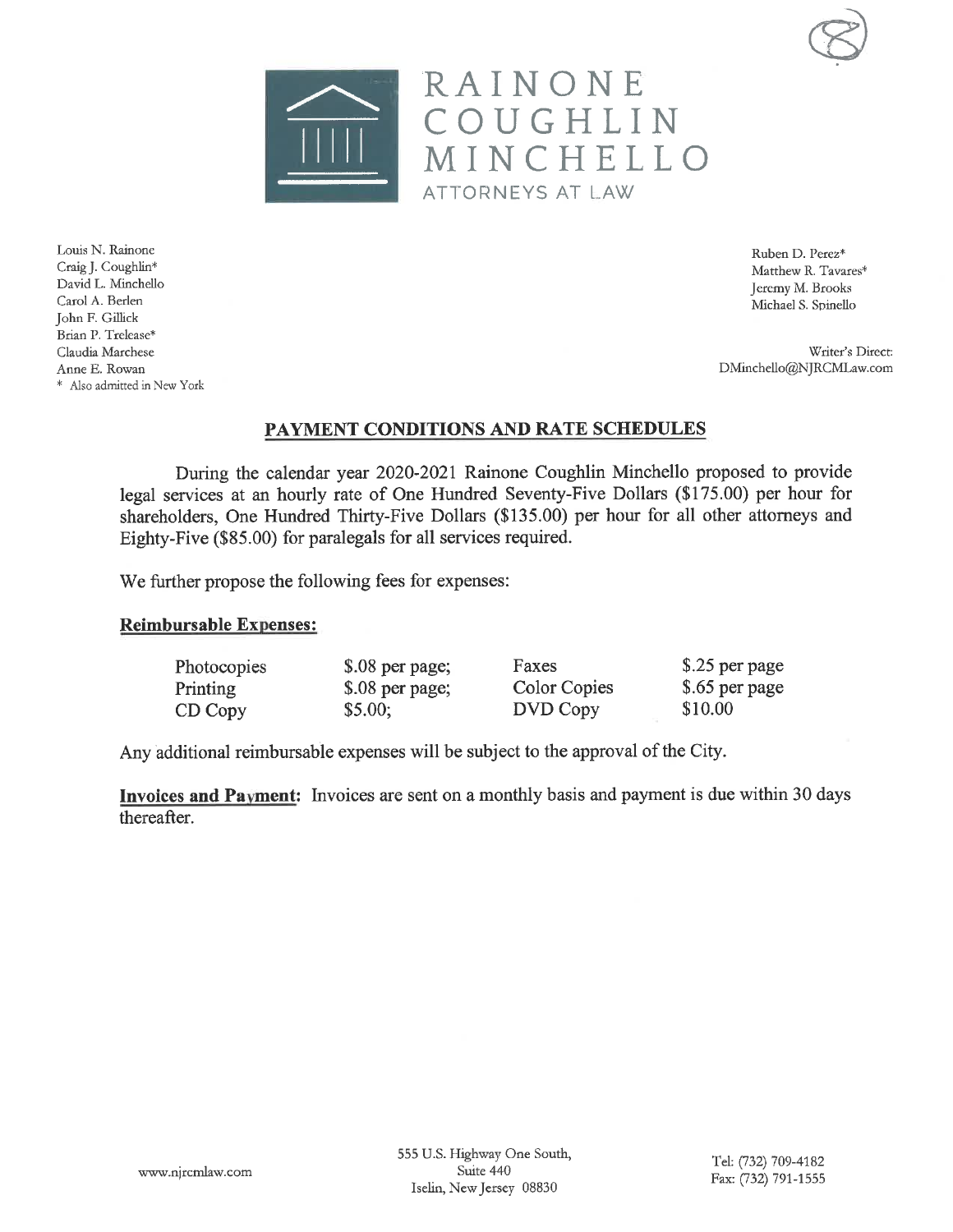



Ruben D. Perez\* Matthew R. Tavares\* Jeremy M. Brooks Michael S. Spinello

Writer's Direct: DMinchello@NJRCMLaw.com

### PAYMENT CONDITIONS AND RATE SCHEDULES

During the calendar year 2020-2021 Rainone Coughlin Minchello proposed to provide legal services at an hourly rate of One Hundred Seventy-Five Dollars (\$175.00) per hour for shareholders, One Hundred Thirty-Five Dollars (\$135.00) per hour for all other attorneys and Eighty-Five (\$85.00) for paralegals for all services required.

We further propose the following fees for expenses:

### **Reimbursable Expenses:**

| Photocopies | \$.08 per page; | Faxes        | \$.25 per page |
|-------------|-----------------|--------------|----------------|
| Printing    | \$.08 per page; | Color Copies | \$.65 per page |
| CD Copy     | \$5.00;         | DVD Copy     | \$10.00        |

Any additional reimbursable expenses will be subject to the approval of the City.

**Invoices and Payment:** Invoices are sent on a monthly basis and payment is due within 30 days thereafter.

Louis N. Rainone Craig J. Coughlin\* David L. Minchello Carol A. Berlen John F. Gillick Brian P. Trelease\* Claudia Marchese Anne E. Rowan \* Also admitted in New York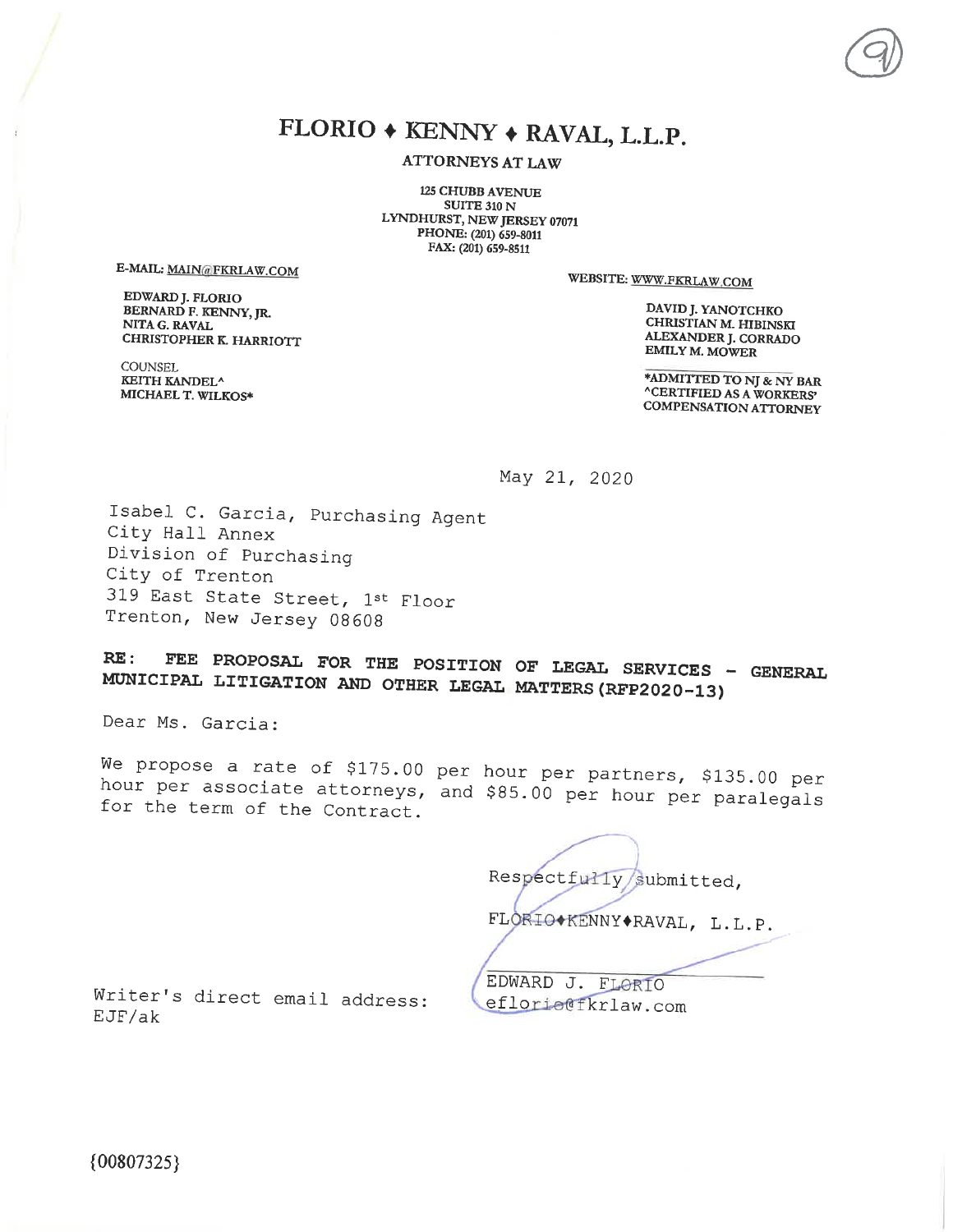# FLORIO + KENNY + RAVAL, L.L.P.

**ATTORNEYS AT LAW** 

**125 CHUBB AVENUE SUITE 310 N** LYNDHURST, NEW JERSEY 07071 PHONE: (201) 659-8011 FAX: (201) 659-8511

E-MAIL: MAIN@FKRLAW.COM

EDWARD J. FLORIO BERNARD F. KENNY, JR. NITA G. RAVAL CHRISTOPHER K. HARRIOTT WEBSITE: WWW.FKRLAW.COM

DAVID J. YANOTCHKO CHRISTIAN M. HIBINSKI ALEXANDER J. CORRADO EMILY M. MOWER

**COUNSEL** KEITH KANDEL<sup>^</sup> MICHAEL T. WILKOS\*

\*ADMITTED TO NJ & NY BAR **^CERTIFIED AS A WORKERS' COMPENSATION ATTORNEY** 

May 21, 2020

Isabel C. Garcia, Purchasing Agent City Hall Annex Division of Purchasing City of Trenton 319 East State Street, 1st Floor Trenton, New Jersey 08608

FEE PROPOSAL FOR THE POSITION OF LEGAL SERVICES - GENERAL RE: MUNICIPAL LITIGATION AND OTHER LEGAL MATTERS (RFP2020-13)

Dear Ms. Garcia:

We propose a rate of \$175.00 per hour per partners, \$135.00 per hour per associate attorneys, and \$85.00 per hour per paralegals for the term of the Contract.

Respectfully/submitted, FLORIO\*KENNY\*RAVAL, L.L.P. EDWARD J. FLORIO eflorie@fkrlaw.com

Writer's direct email address:  $EJF/ak$ 

 ${00807325}$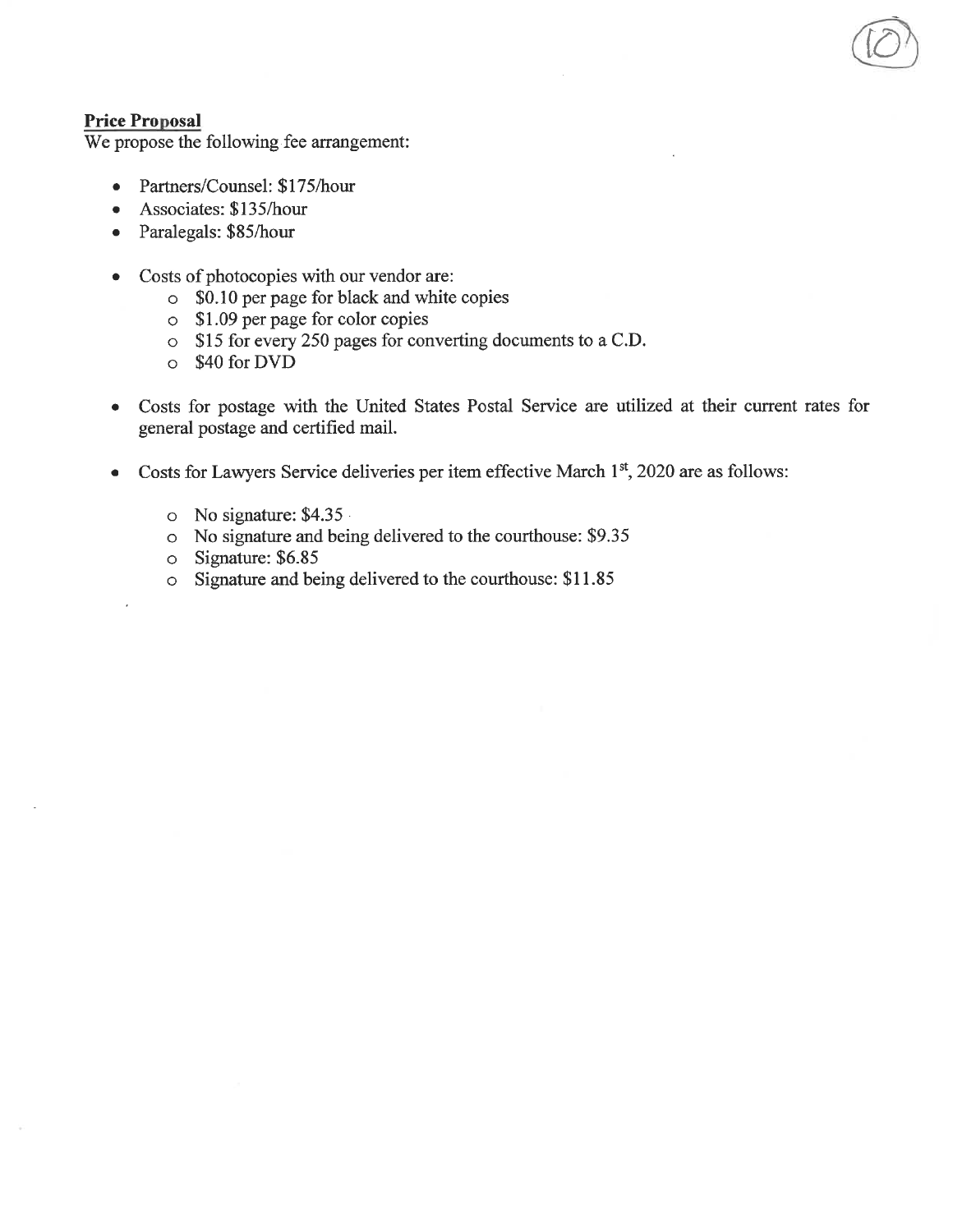### **Price Proposal**

We propose the following fee arrangement:

- Partners/Counsel: \$175/hour  $\bullet$
- Associates: \$135/hour
- Paralegals: \$85/hour  $\bullet$
- Costs of photocopies with our vendor are:  $\bullet$ 
	- SO.10 per page for black and white copies
	- $\circ$  \$1.09 per page for color copies
	- o \$15 for every 250 pages for converting documents to a C.D.
	- $\circ$  \$40 for DVD
- Costs for postage with the United States Postal Service are utilized at their current rates for  $\bullet$ general postage and certified mail.
- Costs for Lawyers Service deliveries per item effective March 1st, 2020 are as follows:  $\bullet$ 
	- $\circ$  No signature: \$4.35
	- o No signature and being delivered to the courthouse: \$9.35
	- $\circ$  Signature: \$6.85
	- o Signature and being delivered to the courthouse: \$11.85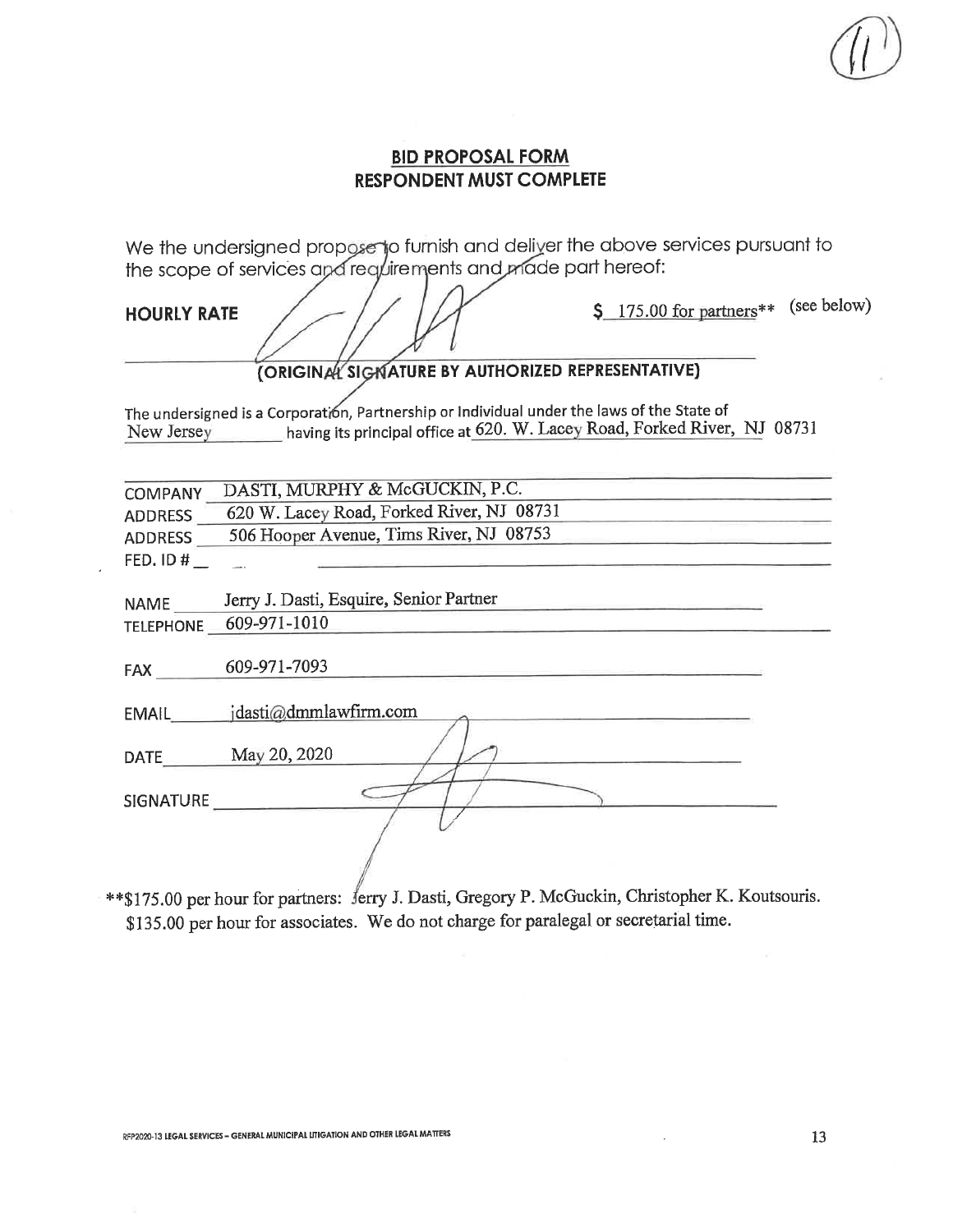We the undersigned propose to furnish and deliver the above services pursuant to the scope of services and requirements and made part hereof:

**HOURLY RATE** 

\$ 175.00 for partners\*\* (see below)

# (ORIGINAL SIGNATURE BY AUTHORIZED REPRESENTATIVE)

The undersigned is a Corporation, Partnership or Individual under the laws of the State of New Jersey having its principal office at 620. W. Lacey Road, Forked River, NJ 08731

| <b>COMPANY</b> | DASTI, MURPHY & McGUCKIN, P.C.            |
|----------------|-------------------------------------------|
| <b>ADDRESS</b> | 620 W. Lacey Road, Forked River, NJ 08731 |
| <b>ADDRESS</b> | 506 Hooper Avenue, Tims River, NJ 08753   |
| FED. ID#       |                                           |
|                |                                           |
| <b>NAME</b>    | Jerry J. Dasti, Esquire, Senior Partner   |

 $NAME$   $\_\$ TELEPHONE 609-971-1010

FAX 609-971-7093

EMAIL jdasti@dmmlawfirm.com

DATE May 20, 2020

SIGNATURE

\*\* \$175.00 per hour for partners: Jerry J. Dasti, Gregory P. McGuckin, Christopher K. Koutsouris. \$135.00 per hour for associates. We do not charge for paralegal or secretarial time.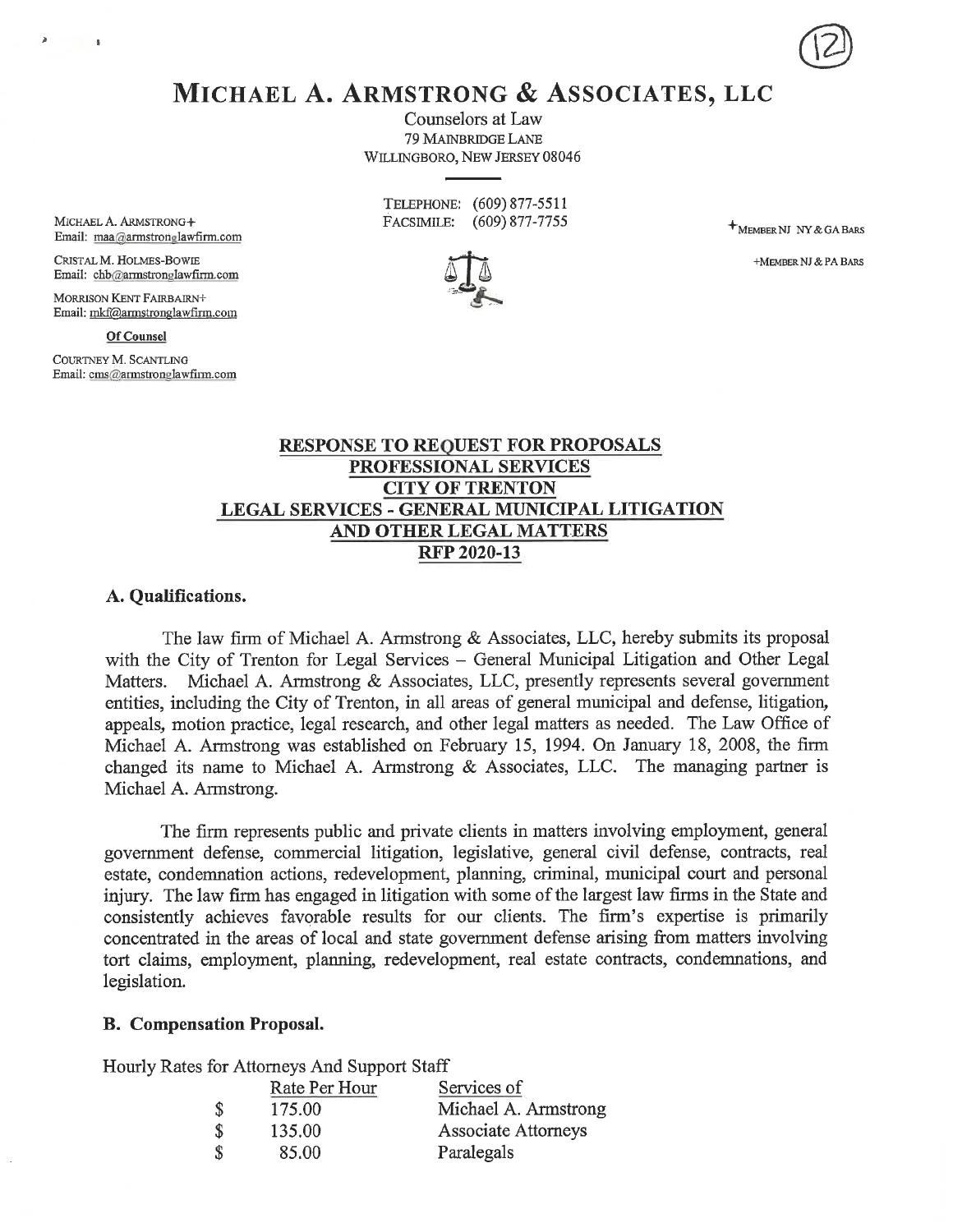MICHAEL A. ARMSTRONG & ASSOCIATES, LLC

Counselors at Law 79 MAINBRIDGE LANE WILLINGBORO, NEW JERSEY 08046

|            | TELEPHONE: (609) 877-5511 |
|------------|---------------------------|
| FACSIMILE: | $(609)$ 877-7755          |

+MEMBER NJ NY & GA BARS

+MEMBER NJ & PA BARS

MICHAEL A. ARMSTRONG+ Email: maa@armstronglawfirm.com

 $\overline{\mathbf{S}}$ 

CRISTAL M. HOLMES-BOWIE Email: chb@armstronglawfirm.com

MORRISON KENT FAIRBAIRN+ Email: mkf@armstronglawfirm.com

Of Counsel COURTNEY M. SCANTLING Email: cms@armstronglawfirm.com

> **RESPONSE TO REQUEST FOR PROPOSALS** PROFESSIONAL SERVICES **CITY OF TRENTON** LEGAL SERVICES - GENERAL MUNICIPAL LITIGATION AND OTHER LEGAL MATTERS **RFP 2020-13**

### A. Qualifications.

The law firm of Michael A. Armstrong & Associates, LLC, hereby submits its proposal with the City of Trenton for Legal Services - General Municipal Litigation and Other Legal Matters. Michael A. Armstrong & Associates, LLC, presently represents several government entities, including the City of Trenton, in all areas of general municipal and defense, litigation, appeals, motion practice, legal research, and other legal matters as needed. The Law Office of Michael A. Armstrong was established on February 15, 1994. On January 18, 2008, the firm changed its name to Michael A. Armstrong & Associates, LLC. The managing partner is Michael A. Armstrong.

The firm represents public and private clients in matters involving employment, general government defense, commercial litigation, legislative, general civil defense, contracts, real estate, condemnation actions, redevelopment, planning, criminal, municipal court and personal injury. The law firm has engaged in litigation with some of the largest law firms in the State and consistently achieves favorable results for our clients. The firm's expertise is primarily concentrated in the areas of local and state government defense arising from matters involving tort claims, employment, planning, redevelopment, real estate contracts, condemnations, and legislation.

### **B.** Compensation Proposal.

Hourly Rates for Attorneys And Support Staff

|                    | Rate Per Hour | Services of          |
|--------------------|---------------|----------------------|
| <sup>\$</sup>      | 175.00        | Michael A. Armstrong |
| $\mathbf{\hat{s}}$ | 135.00        | Associate Attorneys  |
| S,                 | 85.00         | Paralegals           |

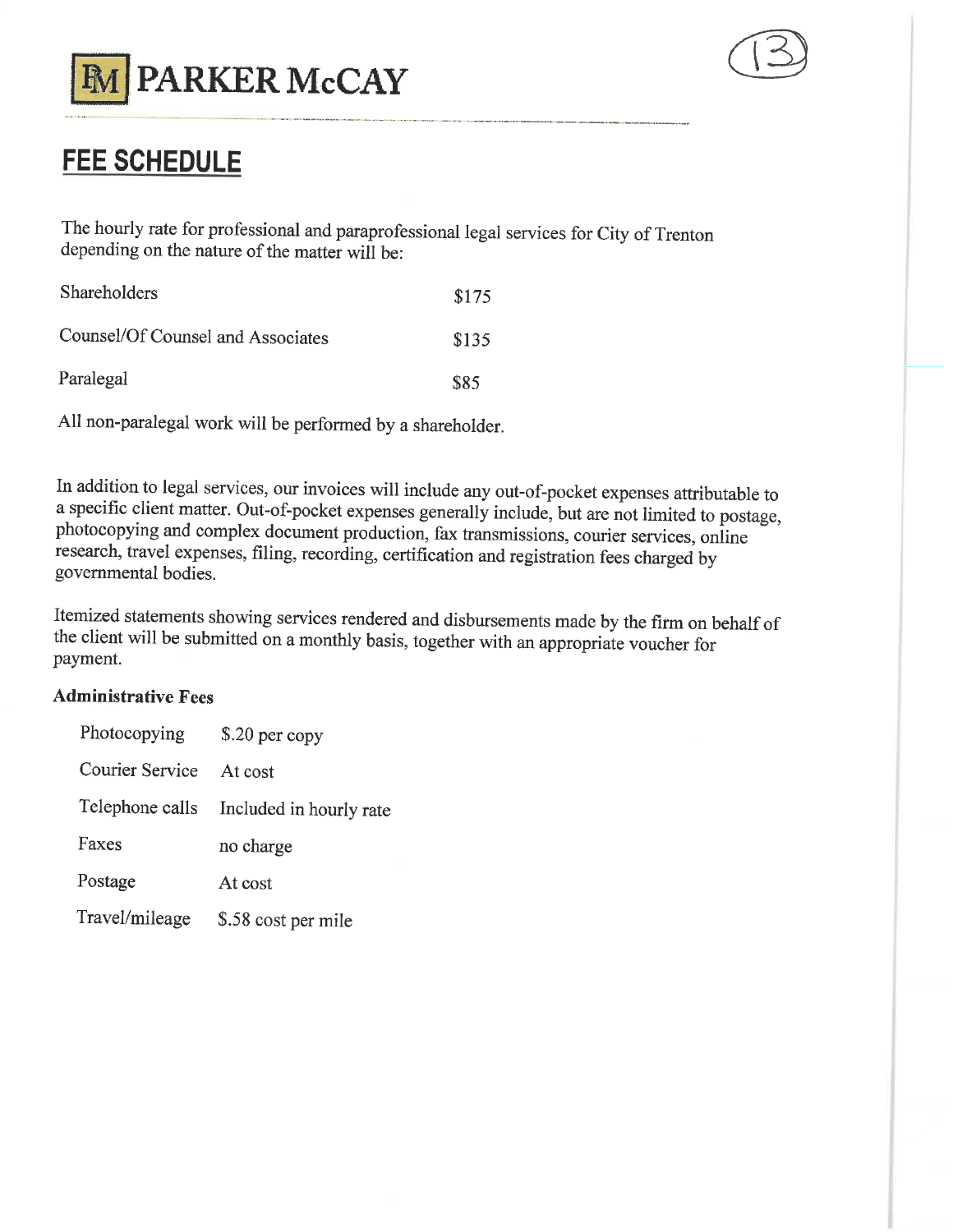



# **FEE SCHEDULE**

The hourly rate for professional and paraprofessional legal services for City of Trenton depending on the nature of the matter will be:

| <b>Shareholders</b>               | \$175 |
|-----------------------------------|-------|
| Counsel/Of Counsel and Associates | \$135 |
| Paralegal                         | \$85  |

All non-paralegal work will be performed by a shareholder.

In addition to legal services, our invoices will include any out-of-pocket expenses attributable to a specific client matter. Out-of-pocket expenses generally include, but are not limited to postage, photocopying and complex document production, fax transmissions, courier services, online research, travel expenses, filing, recording, certification and registration fees charged by governmental bodies.

Itemized statements showing services rendered and disbursements made by the firm on behalf of the client will be submitted on a monthly basis, together with an appropriate voucher for payment.

# **Administrative Fees**

| Photocopying           | $$.20$ per copy                         |  |  |
|------------------------|-----------------------------------------|--|--|
| <b>Courier Service</b> | At cost                                 |  |  |
|                        | Telephone calls Included in hourly rate |  |  |
| Faxes                  | no charge                               |  |  |
| Postage                | At cost                                 |  |  |
| Travel/mileage         | \$.58 cost per mile                     |  |  |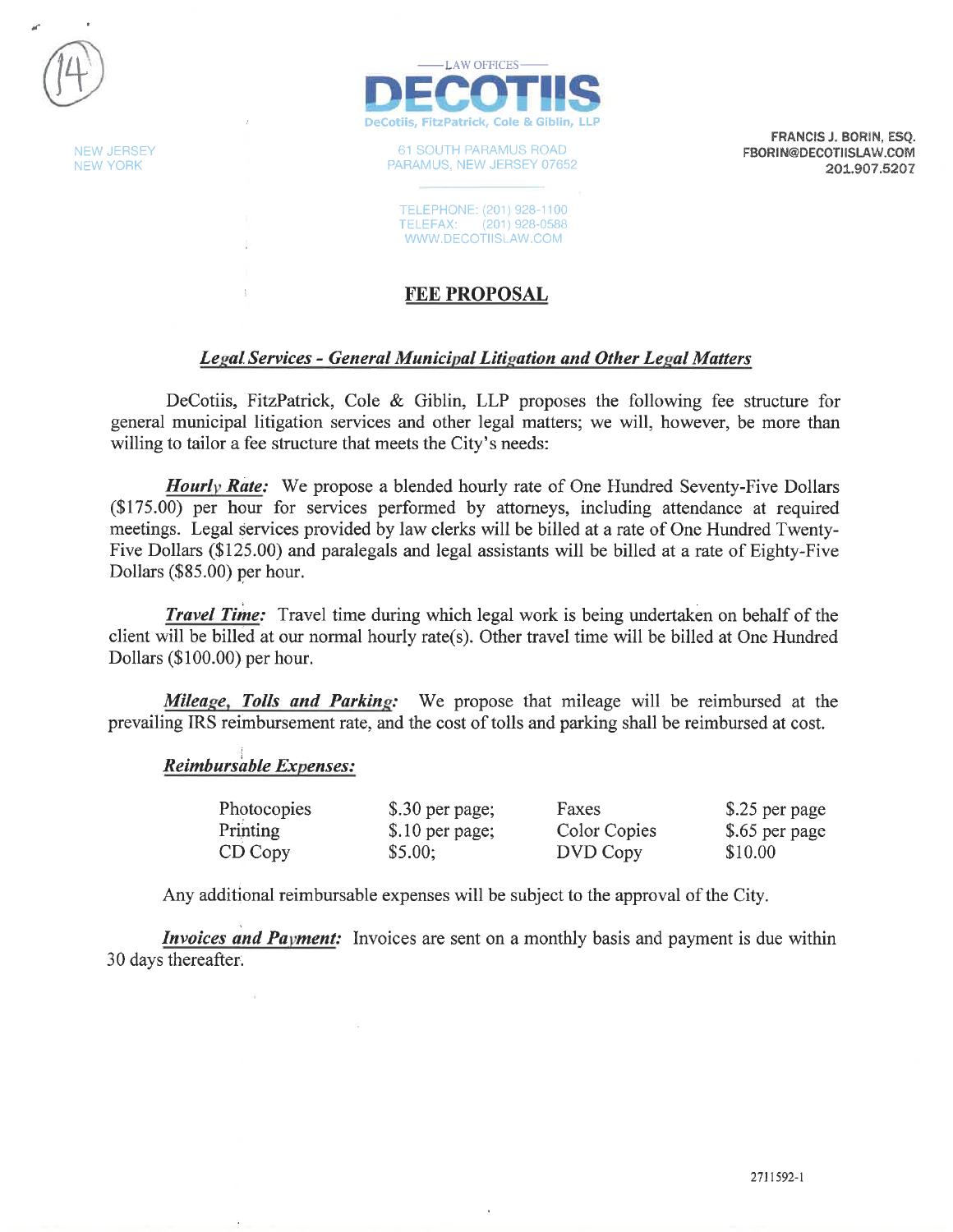

**NEW JERSEY NEW YORK** 



**61 SOUTH PARAMUS ROAD** PARAMUS, NEW JERSEY 07652

TELEPHONE: (201) 928-1100 TELEFAX: (201) 928-0588 WWW.DECOTIISLAW.COM

FRANCIS J. BORIN, ESO. FBORIN@DECOTIISLAW.COM 201.907.5207

# **FEE PROPOSAL**

### **Legal Services - General Municipal Litigation and Other Legal Matters**

DeCotiis, FitzPatrick, Cole & Giblin, LLP proposes the following fee structure for general municipal litigation services and other legal matters; we will, however, be more than willing to tailor a fee structure that meets the City's needs:

**Hourly Rate:** We propose a blended hourly rate of One Hundred Seventy-Five Dollars (\$175.00) per hour for services performed by attorneys, including attendance at required meetings. Legal services provided by law clerks will be billed at a rate of One Hundred Twenty-Five Dollars (\$125.00) and paralegals and legal assistants will be billed at a rate of Eighty-Five Dollars (\$85.00) per hour.

**Travel Time:** Travel time during which legal work is being undertaken on behalf of the client will be billed at our normal hourly rate(s). Other travel time will be billed at One Hundred Dollars (\$100.00) per hour.

Mileage, Tolls and Parking: We propose that mileage will be reimbursed at the prevailing IRS reimbursement rate, and the cost of tolls and parking shall be reimbursed at cost.

### Reimbursable Expenses:

| Photocopies | \$.30 per page; | Faxes        | \$.25 per page |
|-------------|-----------------|--------------|----------------|
| Printing    | \$.10 per page; | Color Copies | \$.65 per page |
| CD Copy     | \$5.00;         | DVD Copy     | \$10.00        |

Any additional reimbursable expenses will be subject to the approval of the City.

**Invoices and Payment:** Invoices are sent on a monthly basis and payment is due within 30 days thereafter.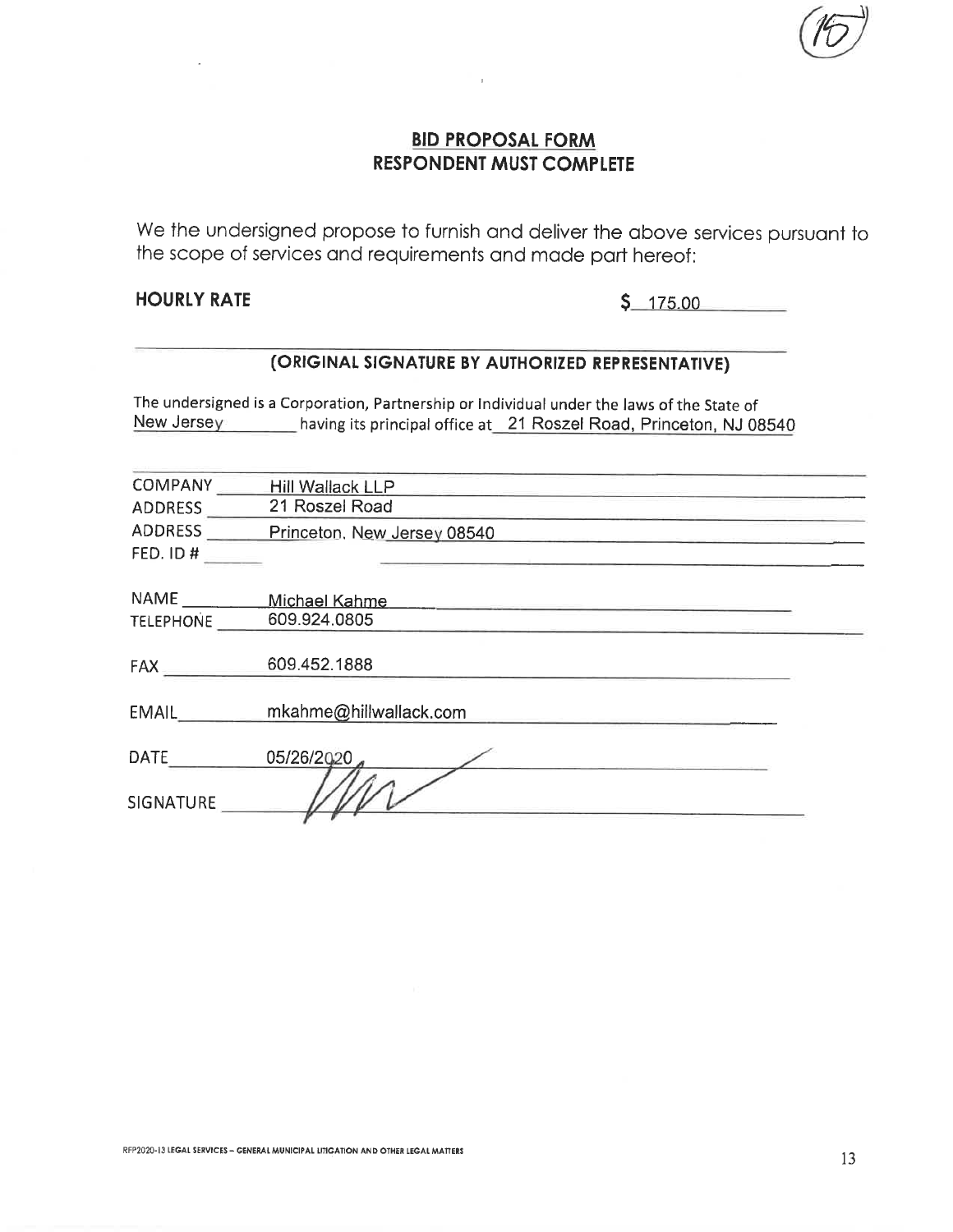We the undersigned propose to furnish and deliver the above services pursuant to the scope of services and requirements and made part hereof:

### **HOURLY RATE**

 $$175.00$ 

## (ORIGINAL SIGNATURE BY AUTHORIZED REPRESENTATIVE)

The undersigned is a Corporation, Partnership or Individual under the laws of the State of New Jersey having its principal office at 21 Roszel Road, Princeton, NJ 08540

| <b>COMPANY</b>   | <b>Hill Wallack LLP</b>     |
|------------------|-----------------------------|
| <b>ADDRESS</b>   | 21 Roszel Road              |
| <b>ADDRESS</b>   | Princeton, New Jersey 08540 |
| FED. ID #        |                             |
|                  |                             |
| <b>NAME</b>      | Michael Kahme               |
| <b>TELEPHONE</b> | 609.924.0805                |
|                  |                             |
| FAX              | 609.452.1888                |
|                  |                             |
| EMAIL            | mkahme@hillwallack.com      |
| <b>DATE</b>      | 05/26/2020                  |
|                  |                             |
| <b>SIGNATURE</b> |                             |
|                  |                             |